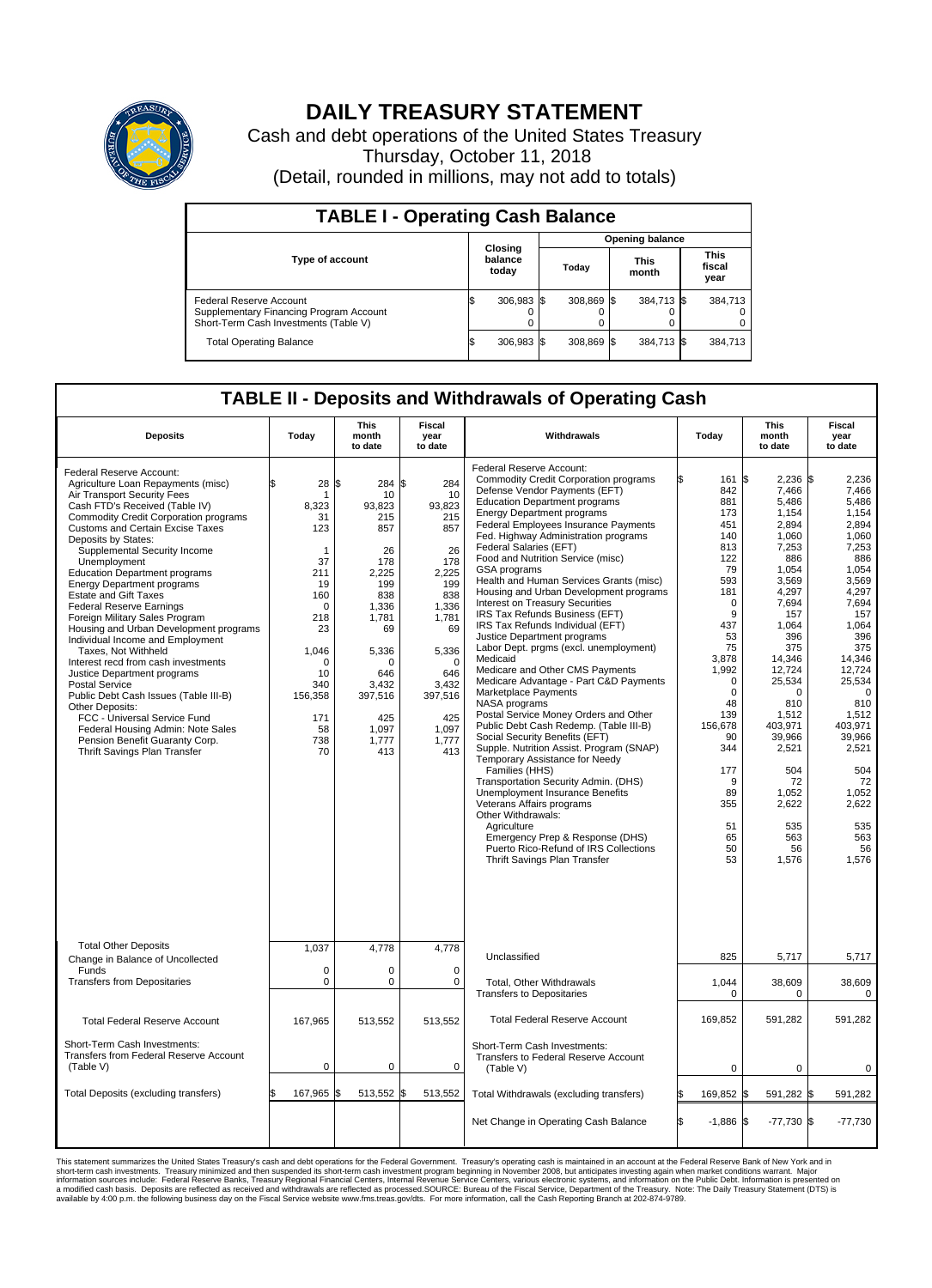

## **DAILY TREASURY STATEMENT**

Cash and debt operations of the United States Treasury Thursday, October 11, 2018 (Detail, rounded in millions, may not add to totals)

| <b>TABLE I - Operating Cash Balance</b>                                                                     |  |                             |  |                        |  |                      |  |                               |  |  |  |
|-------------------------------------------------------------------------------------------------------------|--|-----------------------------|--|------------------------|--|----------------------|--|-------------------------------|--|--|--|
|                                                                                                             |  | Closing<br>balance<br>today |  | <b>Opening balance</b> |  |                      |  |                               |  |  |  |
| <b>Type of account</b>                                                                                      |  |                             |  | Todav                  |  | <b>This</b><br>month |  | <b>This</b><br>fiscal<br>year |  |  |  |
| Federal Reserve Account<br>Supplementary Financing Program Account<br>Short-Term Cash Investments (Table V) |  | $306.983$ \$                |  | 308.869 \$             |  | 384,713 \$           |  | 384.713                       |  |  |  |
| <b>Total Operating Balance</b>                                                                              |  | 306,983 \$                  |  | 308.869 \$             |  | 384,713 \$           |  | 384,713                       |  |  |  |

## **TABLE II - Deposits and Withdrawals of Operating Cash**

| <b>Deposits</b>                                                                                                                                                                                                                                                                                                                                                                                                                                                                                                                                                                                                                                                                                                                                                                                                                                                                     | Today                                                                                                                                                                   | This<br>month<br>to date                                                                                                                                                        | Fiscal<br>year<br>to date                                                                                                                                                     | Withdrawals                                                                                                                                                                                                                                                                                                                                                                                                                                                                                                                                                                                                                                                                                                                                                                                                                                                                                                                                                                                                                                                                                                                                                                                                                                         | Today                                                                                                                                                                                                                                       | <b>This</b><br>month<br>to date                                                                                                                                                                                                                                                                    | Fiscal<br>year<br>to date                                                                                                                                                                                                                                                                   |
|-------------------------------------------------------------------------------------------------------------------------------------------------------------------------------------------------------------------------------------------------------------------------------------------------------------------------------------------------------------------------------------------------------------------------------------------------------------------------------------------------------------------------------------------------------------------------------------------------------------------------------------------------------------------------------------------------------------------------------------------------------------------------------------------------------------------------------------------------------------------------------------|-------------------------------------------------------------------------------------------------------------------------------------------------------------------------|---------------------------------------------------------------------------------------------------------------------------------------------------------------------------------|-------------------------------------------------------------------------------------------------------------------------------------------------------------------------------|-----------------------------------------------------------------------------------------------------------------------------------------------------------------------------------------------------------------------------------------------------------------------------------------------------------------------------------------------------------------------------------------------------------------------------------------------------------------------------------------------------------------------------------------------------------------------------------------------------------------------------------------------------------------------------------------------------------------------------------------------------------------------------------------------------------------------------------------------------------------------------------------------------------------------------------------------------------------------------------------------------------------------------------------------------------------------------------------------------------------------------------------------------------------------------------------------------------------------------------------------------|---------------------------------------------------------------------------------------------------------------------------------------------------------------------------------------------------------------------------------------------|----------------------------------------------------------------------------------------------------------------------------------------------------------------------------------------------------------------------------------------------------------------------------------------------------|---------------------------------------------------------------------------------------------------------------------------------------------------------------------------------------------------------------------------------------------------------------------------------------------|
| Federal Reserve Account:<br>Agriculture Loan Repayments (misc)<br>Air Transport Security Fees<br>Cash FTD's Received (Table IV)<br><b>Commodity Credit Corporation programs</b><br>Customs and Certain Excise Taxes<br>Deposits by States:<br>Supplemental Security Income<br>Unemployment<br><b>Education Department programs</b><br><b>Energy Department programs</b><br><b>Estate and Gift Taxes</b><br><b>Federal Reserve Earnings</b><br>Foreign Military Sales Program<br>Housing and Urban Development programs<br>Individual Income and Employment<br>Taxes. Not Withheld<br>Interest recd from cash investments<br>Justice Department programs<br><b>Postal Service</b><br>Public Debt Cash Issues (Table III-B)<br>Other Deposits:<br>FCC - Universal Service Fund<br>Federal Housing Admin: Note Sales<br>Pension Benefit Guaranty Corp.<br>Thrift Savings Plan Transfer | 28<br>\$.<br>-1<br>8,323<br>31<br>123<br>1<br>37<br>211<br>19<br>160<br>$\mathbf 0$<br>218<br>23<br>1,046<br>$\Omega$<br>10<br>340<br>156,358<br>171<br>58<br>738<br>70 | \$<br>284 \$<br>10<br>93,823<br>215<br>857<br>26<br>178<br>2.225<br>199<br>838<br>1,336<br>1,781<br>69<br>5,336<br>∩<br>646<br>3,432<br>397,516<br>425<br>1,097<br>1,777<br>413 | 284<br>10<br>93,823<br>215<br>857<br>26<br>178<br>2.225<br>199<br>838<br>1,336<br>1,781<br>69<br>5,336<br>$\Omega$<br>646<br>3,432<br>397,516<br>425<br>1,097<br>1,777<br>413 | Federal Reserve Account:<br><b>Commodity Credit Corporation programs</b><br>Defense Vendor Payments (EFT)<br><b>Education Department programs</b><br><b>Energy Department programs</b><br>Federal Employees Insurance Payments<br>Fed. Highway Administration programs<br>Federal Salaries (EFT)<br>Food and Nutrition Service (misc)<br>GSA programs<br>Health and Human Services Grants (misc)<br>Housing and Urban Development programs<br>Interest on Treasury Securities<br>IRS Tax Refunds Business (EFT)<br>IRS Tax Refunds Individual (EFT)<br>Justice Department programs<br>Labor Dept. prgms (excl. unemployment)<br>Medicaid<br>Medicare and Other CMS Payments<br>Medicare Advantage - Part C&D Payments<br>Marketplace Payments<br>NASA programs<br>Postal Service Money Orders and Other<br>Public Debt Cash Redemp. (Table III-B)<br>Social Security Benefits (EFT)<br>Supple. Nutrition Assist. Program (SNAP)<br>Temporary Assistance for Needy<br>Families (HHS)<br>Transportation Security Admin. (DHS)<br><b>Unemployment Insurance Benefits</b><br>Veterans Affairs programs<br>Other Withdrawals:<br>Agriculture<br>Emergency Prep & Response (DHS)<br>Puerto Rico-Refund of IRS Collections<br>Thrift Savings Plan Transfer | 161<br>842<br>881<br>173<br>451<br>140<br>813<br>122<br>79<br>593<br>181<br>$\mathbf 0$<br>9<br>437<br>53<br>75<br>3.878<br>1,992<br>0<br>$\mathbf 0$<br>48<br>139<br>156,678<br>90<br>344<br>177<br>9<br>89<br>355<br>51<br>65<br>50<br>53 | 2,236 \$<br>l\$<br>7,466<br>5.486<br>1,154<br>2.894<br>1,060<br>7,253<br>886<br>1,054<br>3,569<br>4,297<br>7,694<br>157<br>1,064<br>396<br>375<br>14,346<br>12,724<br>25,534<br>$\Omega$<br>810<br>1,512<br>403,971<br>39,966<br>2,521<br>504<br>72<br>1,052<br>2,622<br>535<br>563<br>56<br>1,576 | 2.236<br>7,466<br>5.486<br>1,154<br>2,894<br>1,060<br>7,253<br>886<br>1,054<br>3.569<br>4,297<br>7,694<br>157<br>1,064<br>396<br>375<br>14.346<br>12.724<br>25,534<br>$\mathbf 0$<br>810<br>1,512<br>403,971<br>39,966<br>2,521<br>504<br>72<br>1,052<br>2,622<br>535<br>563<br>56<br>1,576 |
| <b>Total Other Deposits</b><br>Change in Balance of Uncollected                                                                                                                                                                                                                                                                                                                                                                                                                                                                                                                                                                                                                                                                                                                                                                                                                     | 1,037                                                                                                                                                                   | 4,778                                                                                                                                                                           | 4,778                                                                                                                                                                         | Unclassified                                                                                                                                                                                                                                                                                                                                                                                                                                                                                                                                                                                                                                                                                                                                                                                                                                                                                                                                                                                                                                                                                                                                                                                                                                        | 825                                                                                                                                                                                                                                         | 5,717                                                                                                                                                                                                                                                                                              | 5,717                                                                                                                                                                                                                                                                                       |
| Funds<br><b>Transfers from Depositaries</b>                                                                                                                                                                                                                                                                                                                                                                                                                                                                                                                                                                                                                                                                                                                                                                                                                                         | $\mathbf 0$<br>$\pmb{0}$                                                                                                                                                | $\Omega$<br>0                                                                                                                                                                   | $\Omega$<br>$\mathbf 0$                                                                                                                                                       | Total, Other Withdrawals<br><b>Transfers to Depositaries</b>                                                                                                                                                                                                                                                                                                                                                                                                                                                                                                                                                                                                                                                                                                                                                                                                                                                                                                                                                                                                                                                                                                                                                                                        | 1,044<br>$\mathbf 0$                                                                                                                                                                                                                        | 38,609<br>0                                                                                                                                                                                                                                                                                        | 38,609<br>$\mathbf 0$                                                                                                                                                                                                                                                                       |
| <b>Total Federal Reserve Account</b>                                                                                                                                                                                                                                                                                                                                                                                                                                                                                                                                                                                                                                                                                                                                                                                                                                                | 167,965                                                                                                                                                                 | 513,552                                                                                                                                                                         | 513,552                                                                                                                                                                       | <b>Total Federal Reserve Account</b>                                                                                                                                                                                                                                                                                                                                                                                                                                                                                                                                                                                                                                                                                                                                                                                                                                                                                                                                                                                                                                                                                                                                                                                                                | 169,852                                                                                                                                                                                                                                     | 591,282                                                                                                                                                                                                                                                                                            | 591,282                                                                                                                                                                                                                                                                                     |
| Short-Term Cash Investments:<br>Transfers from Federal Reserve Account<br>(Table V)                                                                                                                                                                                                                                                                                                                                                                                                                                                                                                                                                                                                                                                                                                                                                                                                 | $\mathbf 0$                                                                                                                                                             | 0                                                                                                                                                                               | $\Omega$                                                                                                                                                                      | Short-Term Cash Investments:<br>Transfers to Federal Reserve Account<br>(Table V)                                                                                                                                                                                                                                                                                                                                                                                                                                                                                                                                                                                                                                                                                                                                                                                                                                                                                                                                                                                                                                                                                                                                                                   | $\mathbf 0$                                                                                                                                                                                                                                 | $\mathbf 0$                                                                                                                                                                                                                                                                                        | 0                                                                                                                                                                                                                                                                                           |
| Total Deposits (excluding transfers)                                                                                                                                                                                                                                                                                                                                                                                                                                                                                                                                                                                                                                                                                                                                                                                                                                                | 167,965 \$                                                                                                                                                              | 513,552 \$                                                                                                                                                                      | 513,552                                                                                                                                                                       | Total Withdrawals (excluding transfers)                                                                                                                                                                                                                                                                                                                                                                                                                                                                                                                                                                                                                                                                                                                                                                                                                                                                                                                                                                                                                                                                                                                                                                                                             | 169,852 \$                                                                                                                                                                                                                                  | 591,282 \$                                                                                                                                                                                                                                                                                         | 591,282                                                                                                                                                                                                                                                                                     |
|                                                                                                                                                                                                                                                                                                                                                                                                                                                                                                                                                                                                                                                                                                                                                                                                                                                                                     |                                                                                                                                                                         |                                                                                                                                                                                 |                                                                                                                                                                               | Net Change in Operating Cash Balance                                                                                                                                                                                                                                                                                                                                                                                                                                                                                                                                                                                                                                                                                                                                                                                                                                                                                                                                                                                                                                                                                                                                                                                                                | ß.<br>$-1,886$ \$                                                                                                                                                                                                                           | $-77,730$ \$                                                                                                                                                                                                                                                                                       | $-77,730$                                                                                                                                                                                                                                                                                   |

This statement summarizes the United States Treasury's cash and debt operations for the Federal Government. Treasury's operating in November 2008, but anticingates investment summarket conditions warrant. Major<br>short-term